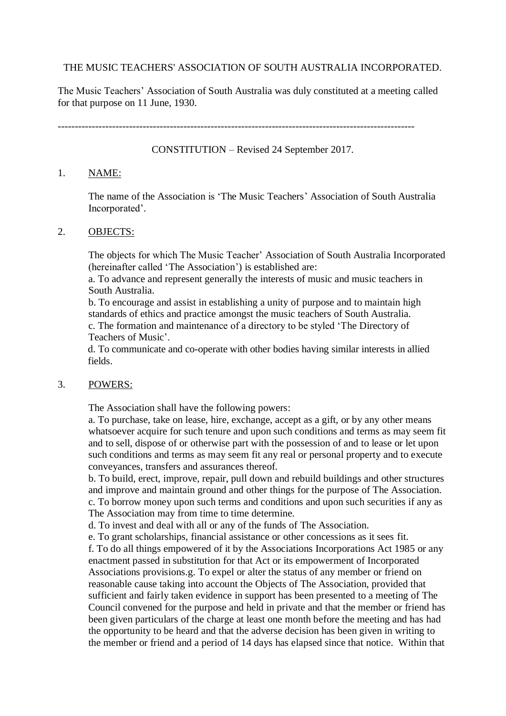# THE MUSIC TEACHERS' ASSOCIATION OF SOUTH AUSTRALIA INCORPORATED.

The Music Teachers' Association of South Australia was duly constituted at a meeting called for that purpose on 11 June, 1930.

---------------------------------------------------------------------------------------------------------

CONSTITUTION – Revised 24 September 2017.

### 1. NAME:

The name of the Association is 'The Music Teachers' Association of South Australia Incorporated'.

### 2. OBJECTS:

The objects for which The Music Teacher' Association of South Australia Incorporated (hereinafter called 'The Association') is established are:

a. To advance and represent generally the interests of music and music teachers in South Australia.

b. To encourage and assist in establishing a unity of purpose and to maintain high standards of ethics and practice amongst the music teachers of South Australia. c. The formation and maintenance of a directory to be styled 'The Directory of Teachers of Music'.

d. To communicate and co-operate with other bodies having similar interests in allied fields.

## 3. POWERS:

The Association shall have the following powers:

a. To purchase, take on lease, hire, exchange, accept as a gift, or by any other means whatsoever acquire for such tenure and upon such conditions and terms as may seem fit and to sell, dispose of or otherwise part with the possession of and to lease or let upon such conditions and terms as may seem fit any real or personal property and to execute conveyances, transfers and assurances thereof.

b. To build, erect, improve, repair, pull down and rebuild buildings and other structures and improve and maintain ground and other things for the purpose of The Association. c. To borrow money upon such terms and conditions and upon such securities if any as The Association may from time to time determine.

d. To invest and deal with all or any of the funds of The Association.

e. To grant scholarships, financial assistance or other concessions as it sees fit.

f. To do all things empowered of it by the Associations Incorporations Act 1985 or any enactment passed in substitution for that Act or its empowerment of Incorporated Associations provisions.g. To expel or alter the status of any member or friend on reasonable cause taking into account the Objects of The Association, provided that sufficient and fairly taken evidence in support has been presented to a meeting of The Council convened for the purpose and held in private and that the member or friend has been given particulars of the charge at least one month before the meeting and has had the opportunity to be heard and that the adverse decision has been given in writing to the member or friend and a period of 14 days has elapsed since that notice. Within that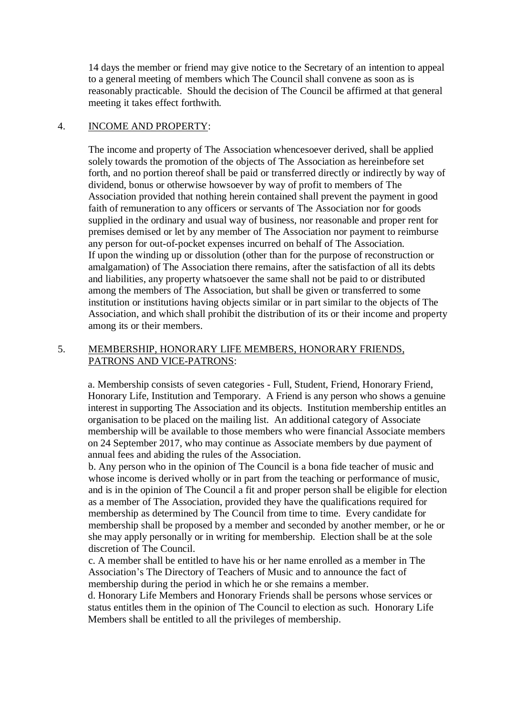14 days the member or friend may give notice to the Secretary of an intention to appeal to a general meeting of members which The Council shall convene as soon as is reasonably practicable. Should the decision of The Council be affirmed at that general meeting it takes effect forthwith.

## 4. INCOME AND PROPERTY:

The income and property of The Association whencesoever derived, shall be applied solely towards the promotion of the objects of The Association as hereinbefore set forth, and no portion thereof shall be paid or transferred directly or indirectly by way of dividend, bonus or otherwise howsoever by way of profit to members of The Association provided that nothing herein contained shall prevent the payment in good faith of remuneration to any officers or servants of The Association nor for goods supplied in the ordinary and usual way of business, nor reasonable and proper rent for premises demised or let by any member of The Association nor payment to reimburse any person for out-of-pocket expenses incurred on behalf of The Association. If upon the winding up or dissolution (other than for the purpose of reconstruction or amalgamation) of The Association there remains, after the satisfaction of all its debts and liabilities, any property whatsoever the same shall not be paid to or distributed among the members of The Association, but shall be given or transferred to some institution or institutions having objects similar or in part similar to the objects of The Association, and which shall prohibit the distribution of its or their income and property among its or their members.

## 5. MEMBERSHIP, HONORARY LIFE MEMBERS, HONORARY FRIENDS, PATRONS AND VICE-PATRONS:

a. Membership consists of seven categories - Full, Student, Friend, Honorary Friend, Honorary Life, Institution and Temporary. A Friend is any person who shows a genuine interest in supporting The Association and its objects. Institution membership entitles an organisation to be placed on the mailing list. An additional category of Associate membership will be available to those members who were financial Associate members on 24 September 2017, who may continue as Associate members by due payment of annual fees and abiding the rules of the Association.

b. Any person who in the opinion of The Council is a bona fide teacher of music and whose income is derived wholly or in part from the teaching or performance of music, and is in the opinion of The Council a fit and proper person shall be eligible for election as a member of The Association, provided they have the qualifications required for membership as determined by The Council from time to time. Every candidate for membership shall be proposed by a member and seconded by another member, or he or she may apply personally or in writing for membership. Election shall be at the sole discretion of The Council.

c. A member shall be entitled to have his or her name enrolled as a member in The Association's The Directory of Teachers of Music and to announce the fact of membership during the period in which he or she remains a member.

d. Honorary Life Members and Honorary Friends shall be persons whose services or status entitles them in the opinion of The Council to election as such. Honorary Life Members shall be entitled to all the privileges of membership.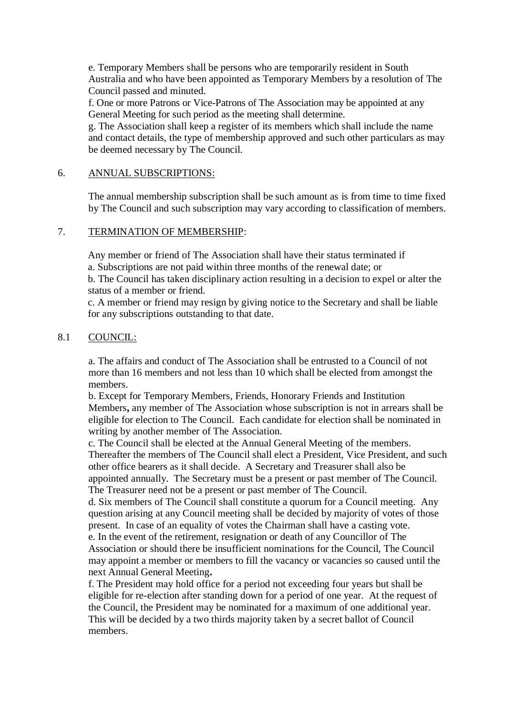e. Temporary Members shall be persons who are temporarily resident in South Australia and who have been appointed as Temporary Members by a resolution of The Council passed and minuted.

f. One or more Patrons or Vice-Patrons of The Association may be appointed at any General Meeting for such period as the meeting shall determine.

g. The Association shall keep a register of its members which shall include the name and contact details, the type of membership approved and such other particulars as may be deemed necessary by The Council.

## 6. ANNUAL SUBSCRIPTIONS:

The annual membership subscription shall be such amount as is from time to time fixed by The Council and such subscription may vary according to classification of members.

## 7. TERMINATION OF MEMBERSHIP:

Any member or friend of The Association shall have their status terminated if a. Subscriptions are not paid within three months of the renewal date; or

b. The Council has taken disciplinary action resulting in a decision to expel or alter the status of a member or friend.

c. A member or friend may resign by giving notice to the Secretary and shall be liable for any subscriptions outstanding to that date.

# 8.1 COUNCIL:

a. The affairs and conduct of The Association shall be entrusted to a Council of not more than 16 members and not less than 10 which shall be elected from amongst the members.

b. Except for Temporary Members, Friends, Honorary Friends and Institution Members**,** any member of The Association whose subscription is not in arrears shall be eligible for election to The Council. Each candidate for election shall be nominated in writing by another member of The Association.

c. The Council shall be elected at the Annual General Meeting of the members. Thereafter the members of The Council shall elect a President, Vice President, and such other office bearers as it shall decide. A Secretary and Treasurer shall also be appointed annually. The Secretary must be a present or past member of The Council. The Treasurer need not be a present or past member of The Council.

d. Six members of The Council shall constitute a quorum for a Council meeting. Any question arising at any Council meeting shall be decided by majority of votes of those present. In case of an equality of votes the Chairman shall have a casting vote.

e. In the event of the retirement, resignation or death of any Councillor of The Association or should there be insufficient nominations for the Council, The Council may appoint a member or members to fill the vacancy or vacancies so caused until the next Annual General Meeting**.**

f. The President may hold office for a period not exceeding four years but shall be eligible for re-election after standing down for a period of one year. At the request of the Council, the President may be nominated for a maximum of one additional year. This will be decided by a two thirds majority taken by a secret ballot of Council members.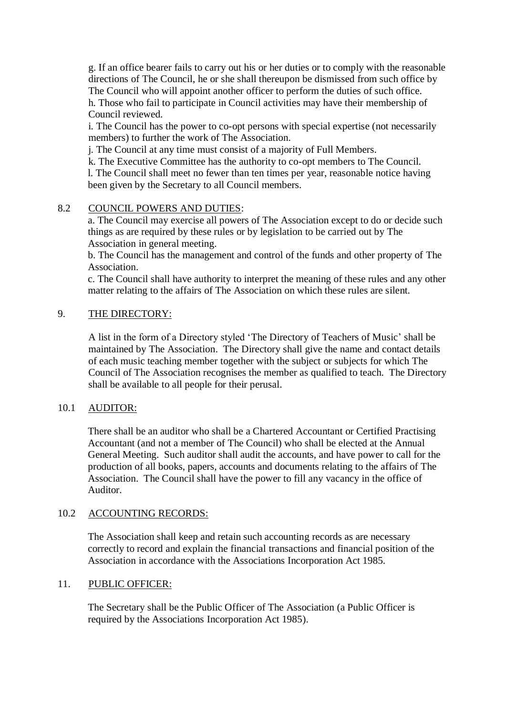g. If an office bearer fails to carry out his or her duties or to comply with the reasonable directions of The Council, he or she shall thereupon be dismissed from such office by The Council who will appoint another officer to perform the duties of such office. h. Those who fail to participate in Council activities may have their membership of Council reviewed.

i. The Council has the power to co-opt persons with special expertise (not necessarily members) to further the work of The Association.

j. The Council at any time must consist of a majority of Full Members.

k. The Executive Committee has the authority to co-opt members to The Council. l. The Council shall meet no fewer than ten times per year, reasonable notice having been given by the Secretary to all Council members.

# 8.2 COUNCIL POWERS AND DUTIES:

a. The Council may exercise all powers of The Association except to do or decide such things as are required by these rules or by legislation to be carried out by The Association in general meeting.

b. The Council has the management and control of the funds and other property of The Association.

c. The Council shall have authority to interpret the meaning of these rules and any other matter relating to the affairs of The Association on which these rules are silent.

# 9. THE DIRECTORY:

A list in the form of a Directory styled 'The Directory of Teachers of Music' shall be maintained by The Association. The Directory shall give the name and contact details of each music teaching member together with the subject or subjects for which The Council of The Association recognises the member as qualified to teach. The Directory shall be available to all people for their perusal.

# 10.1 AUDITOR:

There shall be an auditor who shall be a Chartered Accountant or Certified Practising Accountant (and not a member of The Council) who shall be elected at the Annual General Meeting. Such auditor shall audit the accounts, and have power to call for the production of all books, papers, accounts and documents relating to the affairs of The Association. The Council shall have the power to fill any vacancy in the office of Auditor.

# 10.2 ACCOUNTING RECORDS:

The Association shall keep and retain such accounting records as are necessary correctly to record and explain the financial transactions and financial position of the Association in accordance with the Associations Incorporation Act 1985.

## 11. PUBLIC OFFICER:

The Secretary shall be the Public Officer of The Association (a Public Officer is required by the Associations Incorporation Act 1985).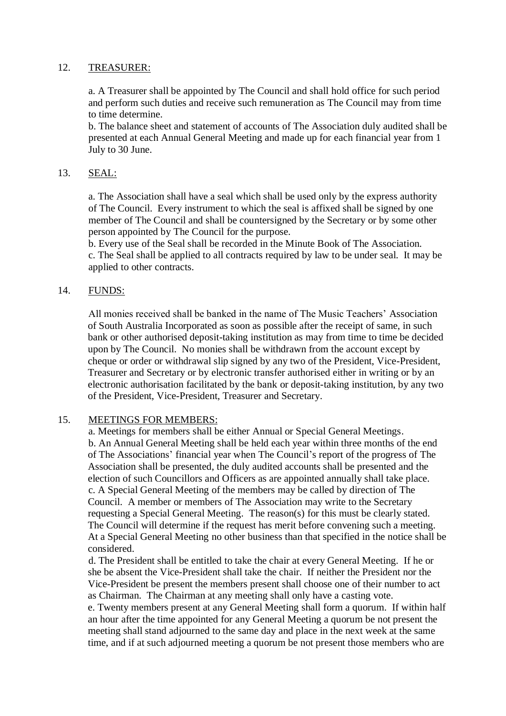# 12. TREASURER:

a. A Treasurer shall be appointed by The Council and shall hold office for such period and perform such duties and receive such remuneration as The Council may from time to time determine.

b. The balance sheet and statement of accounts of The Association duly audited shall be presented at each Annual General Meeting and made up for each financial year from 1 July to 30 June.

# 13. SEAL:

a. The Association shall have a seal which shall be used only by the express authority of The Council. Every instrument to which the seal is affixed shall be signed by one member of The Council and shall be countersigned by the Secretary or by some other person appointed by The Council for the purpose.

b. Every use of the Seal shall be recorded in the Minute Book of The Association. c. The Seal shall be applied to all contracts required by law to be under seal. It may be applied to other contracts.

# 14. FUNDS:

All monies received shall be banked in the name of The Music Teachers' Association of South Australia Incorporated as soon as possible after the receipt of same, in such bank or other authorised deposit-taking institution as may from time to time be decided upon by The Council. No monies shall be withdrawn from the account except by cheque or order or withdrawal slip signed by any two of the President, Vice-President, Treasurer and Secretary or by electronic transfer authorised either in writing or by an electronic authorisation facilitated by the bank or deposit-taking institution, by any two of the President, Vice-President, Treasurer and Secretary.

## 15. MEETINGS FOR MEMBERS:

a. Meetings for members shall be either Annual or Special General Meetings. b. An Annual General Meeting shall be held each year within three months of the end of The Associations' financial year when The Council's report of the progress of The Association shall be presented, the duly audited accounts shall be presented and the election of such Councillors and Officers as are appointed annually shall take place. c. A Special General Meeting of the members may be called by direction of The Council. A member or members of The Association may write to the Secretary requesting a Special General Meeting. The reason(s) for this must be clearly stated. The Council will determine if the request has merit before convening such a meeting. At a Special General Meeting no other business than that specified in the notice shall be considered.

d. The President shall be entitled to take the chair at every General Meeting. If he or she be absent the Vice-President shall take the chair. If neither the President nor the Vice-President be present the members present shall choose one of their number to act as Chairman. The Chairman at any meeting shall only have a casting vote. e. Twenty members present at any General Meeting shall form a quorum. If within half an hour after the time appointed for any General Meeting a quorum be not present the meeting shall stand adjourned to the same day and place in the next week at the same time, and if at such adjourned meeting a quorum be not present those members who are